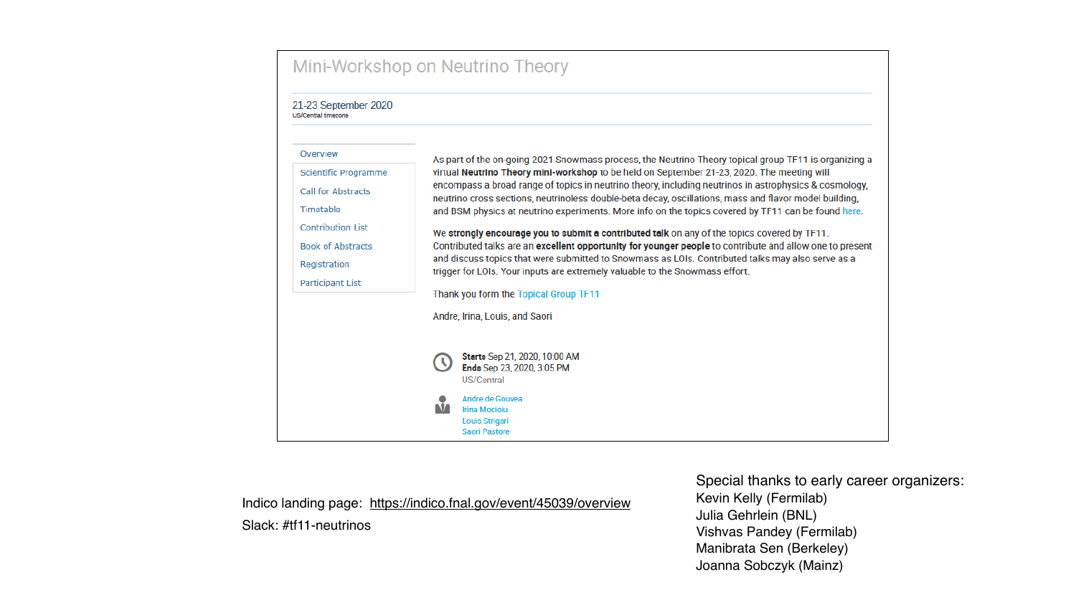# Mini-Workshop on Neutrino Theory

21-23 September 2020 US/Central timezone



Indico landing page: https://indico.fnal.gov/event/45039/overview Slack: #tf11-neutrinos

As part of the on-going 2021 Snowmass process, the Neutrino Theory topical group TF11 is organizing a virtual Neutrino Theory mini-workshop to be held on September 21-23, 2020. The meeting will encompass a broad range of topics in neutrino theory, including neutrinos in astrophysics & cosmology, neutrino cross sections, neutrinoless double-beta decay, oscillations, mass and flavor model building, and BSM physics at neutrino experiments. More info on the topics covered by TF11 can be found here.

We strongly encourage you to submit a contributed talk on any of the topics covered by TF11. Contributed talks are an excellent opportunity for younger people to contribute and allow one to present and discuss topics that were submitted to Snowmass as LOIs. Contributed talks may also serve as a trigger for LOIs. Your inputs are extremely valuable to the Snowmass effort.

Thank you form the Topical Group TF11

Starts Sep 21, 2020, 10:00 AM Ends Sep 23, 2020, 3:05 PM

Special thanks to early career organizers: Kevin Kelly (Fermilab) Julia Gehrlein (BNL) **Vishvas Pandey (Fermilab)** Manibrata Sen (Berkeley) Joanna Sobczyk (Mainz)